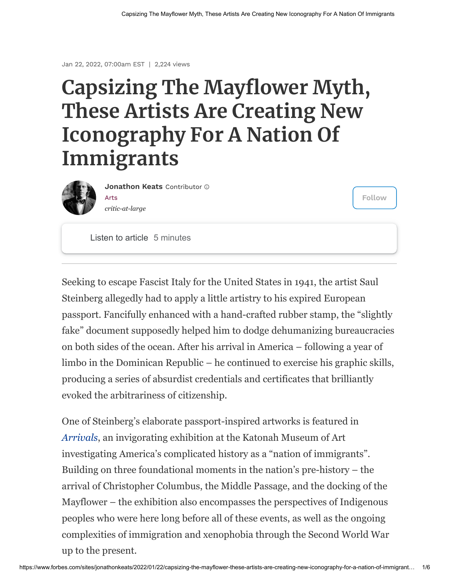## **Capsizing The Mayflower Myth, These Artists Are Creating New Iconography For A Nation Of Immigrants**



[Arts](https://www.forbes.com/arts) *critic-at-large* **[Jonathon Keats](https://www.forbes.com/sites/jonathonkeats/)** Contributor

**Follow**

Listen to article 5 minutes

Seeking to escape Fascist Italy for the United States in 1941, the artist Saul Steinberg allegedly had to apply a little artistry to his expired European passport. Fancifully enhanced with a hand-crafted rubber stamp, the "slightly fake" document supposedly helped him to dodge dehumanizing bureaucracies on both sides of the ocean. After his arrival in America – following a year of limbo in the Dominican Republic – he continued to exercise his graphic skills, producing a series of absurdist credentials and certificates that brilliantly evoked the arbitrariness of citizenship.

One of Steinberg's elaborate passport-inspired artworks is featured in *[Arrivals](http://www.katonahmuseum.org/exhibitions/)*, an invigorating exhibition at the Katonah Museum of Art investigating America's complicated history as a "nation of immigrants". Building on three foundational moments in the nation's pre-history – the arrival of Christopher Columbus, the Middle Passage, and the docking of the Mayflower – the exhibition also encompasses the perspectives of Indigenous peoples who were here long before all of these events, as well as the ongoing complexities of immigration and xenophobia through the Second World War up to the present.

Jan 22, 2022, 07:00am EST | 2,224 views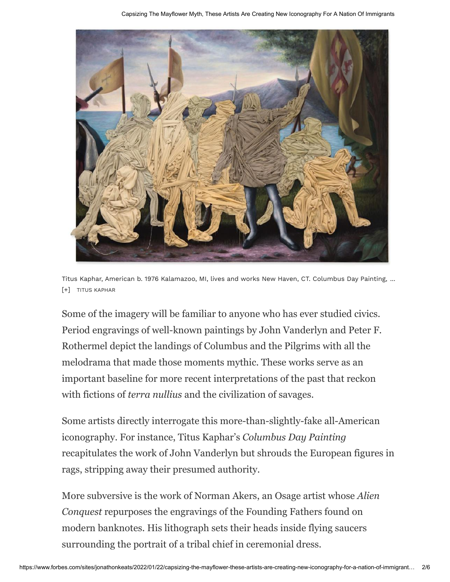

Titus Kaphar, American b. 1976 Kalamazoo, MI, lives and works New Haven, CT. Columbus Day Painting, ... [+] TITUS KAPHAR

Some of the imagery will be familiar to anyone who has ever studied civics. Period engravings of well-known paintings by John Vanderlyn and Peter F. Rothermel depict the landings of Columbus and the Pilgrims with all the melodrama that made those moments mythic. These works serve as an important baseline for more recent interpretations of the past that reckon with fictions of *terra nullius* and the civilization of savages.

Some artists directly interrogate this more-than-slightly-fake all-American iconography. For instance, Titus Kaphar's *Columbus Day Painting* recapitulates the work of John Vanderlyn but shrouds the European figures in rags, stripping away their presumed authority.

More subversive is the work of Norman Akers, an Osage artist whose *Alien Conquest* repurposes the engravings of the Founding Fathers found on modern banknotes. His lithograph sets their heads inside flying saucers surrounding the portrait of a tribal chief in ceremonial dress.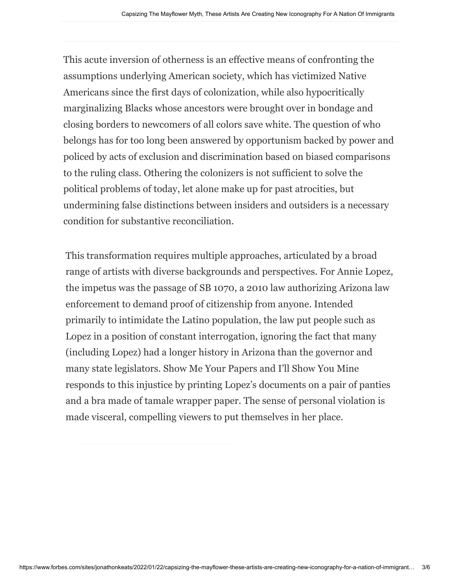[This acute inversion of otherness is an effective means of confronting the](https://www.forbes.com/advisor/travel-insurance/best-travel-insurance/?utm_source=forbes&utm_medium=recirc&utm_campaign=tirecircnov) assumptions underlying American society, which has victimized Native Americans since the first days of colonization, while also hypocritically [marginalizing Blacks whose ancestors were brought over i](https://www.forbes.com/advisor/travel-insurance/best-pandemic-travel-insurance/?utm_source=forbes&utm_medium=recirc&utm_campaign=tirecircnov)n bondage and closing borders to newcomers of all colors save white. The question of who belongs has for too long been answered by opportunism b[acked by power and](https://www.forbes.com/advisor/travel-insurance/best-pandemic-travel-insurance/?utm_source=forbes&utm_medium=recirc&utm_campaign=tirecircnov) policed by acts of exclusion and discrimination based on biased comparisons to the ruling class. Othering the colonizers is not sufficient to solve the political problems of today, let alone make up for past atrocities, but undermining false distinctions between insiders and outsiders is a necessary condition for substantive reconciliation.

This transformation requires multiple approaches, articulated by a broad range of artists with diverse backgrounds and perspectives. For Annie Lopez, the impetus was the passage of SB 1070, a 2010 law authorizing Arizona law enforcement to demand proof of citizenship from anyone. Intended primarily to intimidate the Latino population, the law put people such as Lopez in a position of constant interrogation, ignoring the fact that many (including Lopez) had a longer history in Arizona than the governor and many state legislators. Show Me Your Papers and I'll Show You Mine responds to this injustice by printing Lopez's documents on a pair of panties and a bra made of tamale wrapper paper. The sense of personal violation is made visceral, compelling viewers to put themselves in her place.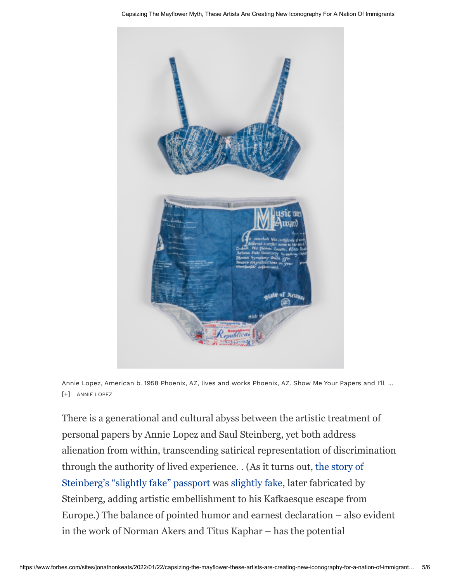

Annie Lopez, American b. 1958 Phoenix, AZ, lives and works Phoenix, AZ. Show Me Your Papers and I'll ... [+] ANNIE LOPEZ

There is a generational and cultural abyss between the artistic treatment of personal papers by Annie Lopez and Saul Steinberg, yet both address alienation from within, transcending satirical representation of discrimination through the authority of lived experience. . (As it turns out, the story of [Steinberg's "slightly fake" passport was slightly fake, later fabricated by](https://www.nytimes.com/1999/05/13/arts/saul-steinberg-epic-doodler-dies-at-84.html) Steinberg, adding artistic embellishment to his Kafkaesque escape from Europe.) The balance of pointed humor and earnest declaration – also evident in the work of Norman Akers and Titus Kaphar – has the potential